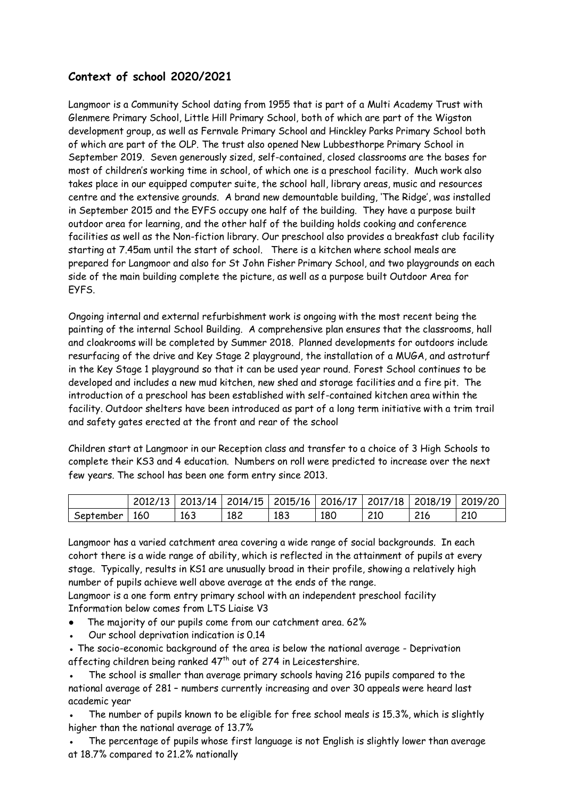### **Context of school 2020/2021**

Langmoor is a Community School dating from 1955 that is part of a Multi Academy Trust with Glenmere Primary School, Little Hill Primary School, both of which are part of the Wigston development group, as well as Fernvale Primary School and Hinckley Parks Primary School both of which are part of the OLP. The trust also opened New Lubbesthorpe Primary School in September 2019. Seven generously sized, self-contained, closed classrooms are the bases for most of children's working time in school, of which one is a preschool facility. Much work also takes place in our equipped computer suite, the school hall, library areas, music and resources centre and the extensive grounds. A brand new demountable building, 'The Ridge', was installed in September 2015 and the EYFS occupy one half of the building. They have a purpose built outdoor area for learning, and the other half of the building holds cooking and conference facilities as well as the Non-fiction library. Our preschool also provides a breakfast club facility starting at 7.45am until the start of school. There is a kitchen where school meals are prepared for Langmoor and also for St John Fisher Primary School, and two playgrounds on each side of the main building complete the picture, as well as a purpose built Outdoor Area for EYFS.

Ongoing internal and external refurbishment work is ongoing with the most recent being the painting of the internal School Building. A comprehensive plan ensures that the classrooms, hall and cloakrooms will be completed by Summer 2018. Planned developments for outdoors include resurfacing of the drive and Key Stage 2 playground, the installation of a MUGA, and astroturf in the Key Stage 1 playground so that it can be used year round. Forest School continues to be developed and includes a new mud kitchen, new shed and storage facilities and a fire pit. The introduction of a preschool has been established with self-contained kitchen area within the facility. Outdoor shelters have been introduced as part of a long term initiative with a trim trail and safety gates erected at the front and rear of the school

Children start at Langmoor in our Reception class and transfer to a choice of 3 High Schools to complete their KS3 and 4 education. Numbers on roll were predicted to increase over the next few years. The school has been one form entry since 2013.

|           |     |     |     | 2012/13   2013/14   2014/15   2015/16   2016/17   2017/18   2018/19   2019/20 |     |     |     |     |
|-----------|-----|-----|-----|-------------------------------------------------------------------------------|-----|-----|-----|-----|
| September | 160 | 163 | 182 | 183                                                                           | 180 | 210 | 216 | 210 |

Langmoor has a varied catchment area covering a wide range of social backgrounds. In each cohort there is a wide range of ability, which is reflected in the attainment of pupils at every stage. Typically, results in KS1 are unusually broad in their profile, showing a relatively high number of pupils achieve well above average at the ends of the range.

Langmoor is a one form entry primary school with an independent preschool facility Information below comes from LTS Liaise V3

- The majority of our pupils come from our catchment area. 62%
- Our school deprivation indication is 0.14
- The socio-economic background of the area is below the national average Deprivation affecting children being ranked 47<sup>th</sup> out of 274 in Leicestershire.
- The school is smaller than average primary schools having 216 pupils compared to the national average of 281 – numbers currently increasing and over 30 appeals were heard last academic year

The number of pupils known to be eligible for free school meals is 15.3%, which is slightly higher than the national average of 13.7%

The percentage of pupils whose first language is not English is slightly lower than average at 18.7% compared to 21.2% nationally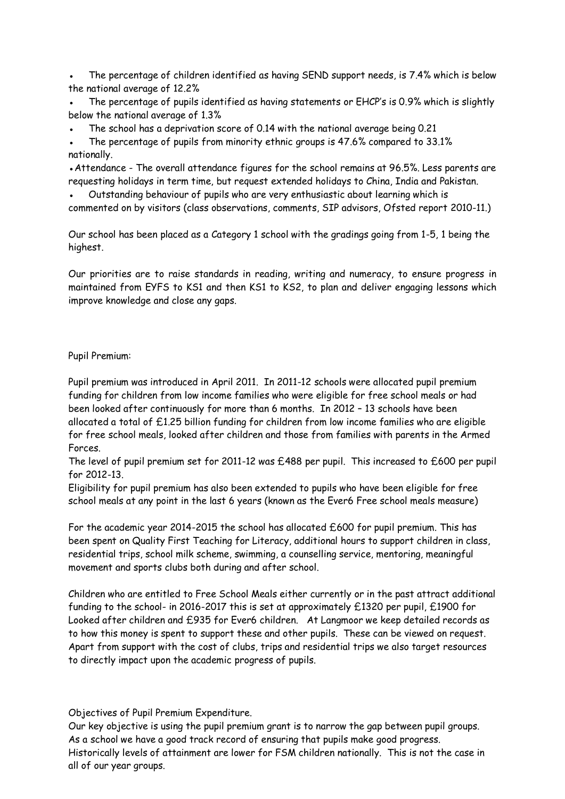The percentage of children identified as having SEND support needs, is 7.4% which is below the national average of 12.2%

The percentage of pupils identified as having statements or EHCP's is 0.9% which is slightly below the national average of 1.3%

The school has a deprivation score of 0.14 with the national average being 0.21

The percentage of pupils from minority ethnic groups is 47.6% compared to 33.1% nationally.

• Attendance - The overall attendance figures for the school remains at 96.5%. Less parents are requesting holidays in term time, but request extended holidays to China, India and Pakistan.

Outstanding behaviour of pupils who are very enthusiastic about learning which is commented on by visitors (class observations, comments, SIP advisors, Ofsted report 2010-11.)

Our school has been placed as a Category 1 school with the gradings going from 1-5, 1 being the highest.

Our priorities are to raise standards in reading, writing and numeracy, to ensure progress in maintained from EYFS to KS1 and then KS1 to KS2, to plan and deliver engaging lessons which improve knowledge and close any gaps.

#### Pupil Premium:

Pupil premium was introduced in April 2011. In 2011-12 schools were allocated pupil premium funding for children from low income families who were eligible for free school meals or had been looked after continuously for more than 6 months. In 2012 – 13 schools have been allocated a total of £1.25 billion funding for children from low income families who are eligible for free school meals, looked after children and those from families with parents in the Armed Forces.

The level of pupil premium set for 2011-12 was £488 per pupil. This increased to £600 per pupil for 2012-13.

Eligibility for pupil premium has also been extended to pupils who have been eligible for free school meals at any point in the last 6 years (known as the Ever6 Free school meals measure)

For the academic year 2014-2015 the school has allocated £600 for pupil premium. This has been spent on Quality First Teaching for Literacy, additional hours to support children in class, residential trips, school milk scheme, swimming, a counselling service, mentoring, meaningful movement and sports clubs both during and after school.

Children who are entitled to Free School Meals either currently or in the past attract additional funding to the school- in 2016-2017 this is set at approximately £1320 per pupil, £1900 for Looked after children and £935 for Ever6 children. At Langmoor we keep detailed records as to how this money is spent to support these and other pupils. These can be viewed on request. Apart from support with the cost of clubs, trips and residential trips we also target resources to directly impact upon the academic progress of pupils.

Objectives of Pupil Premium Expenditure.

Our key objective is using the pupil premium grant is to narrow the gap between pupil groups. As a school we have a good track record of ensuring that pupils make good progress. Historically levels of attainment are lower for FSM children nationally. This is not the case in all of our year groups.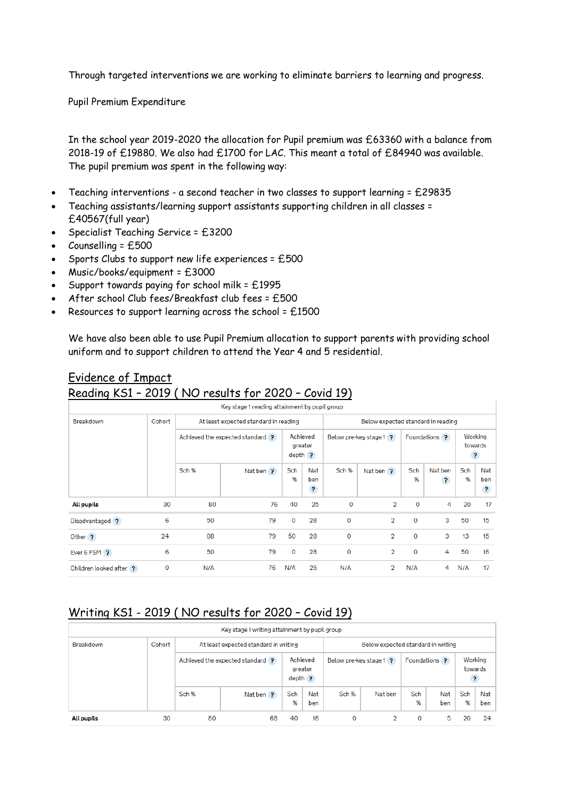Through targeted interventions we are working to eliminate barriers to learning and progress.

Pupil Premium Expenditure

In the school year 2019-2020 the allocation for Pupil premium was £63360 with a balance from 2018-19 of £19880. We also had £1700 for LAC. This meant a total of £84940 was available. The pupil premium was spent in the following way:

- Teaching interventions a second teacher in two classes to support learning = £29835
- Teaching assistants/learning support assistants supporting children in all classes = £40567(full year)
- Specialist Teaching Service = £3200
- Counselling = £500
- Sports Clubs to support new life experiences = £500
- Music/books/equipment = £3000
- Support towards paying for school milk = £1995
- After school Club fees/Breakfast club fees = £500
- Resources to support learning across the school =  $£1500$

We have also been able to use Pupil Premium allocation to support parents with providing school uniform and to support children to attend the Year 4 and 5 residential.

| בשטן וויששטרו           |        |                                       | $10121$ $11301011$                            |                                  |                                       | 00010177                |                |               |                         |                         |                                       |
|-------------------------|--------|---------------------------------------|-----------------------------------------------|----------------------------------|---------------------------------------|-------------------------|----------------|---------------|-------------------------|-------------------------|---------------------------------------|
|                         |        |                                       | Key stage 1 reading attainment by pupil group |                                  |                                       |                         |                |               |                         |                         |                                       |
| Breakdown               | Cohort | At least expected standard in reading |                                               |                                  | Below expected standard in reading    |                         |                |               |                         |                         |                                       |
|                         |        | Achieved the expected standard ?      |                                               | Achieved<br>greater<br>$depth$ ? |                                       | Below pre-key stage 1 ? |                | Foundations ? |                         | Working<br>towards<br>? |                                       |
|                         |        | Sch %                                 | Nat ben ?                                     | Sch<br>%                         | Nat<br>ben<br>$\overline{\mathbf{r}}$ | Sch %                   | Nat ben?       | Sch<br>%      | Nat ben<br>$\mathbf{?}$ | Sch<br>%                | Nat<br>ben<br>$\overline{\mathbf{r}}$ |
| All pupils              | 30     | 80                                    | 76                                            | 40                               | 25                                    | $\mathbf 0$             | $\overline{2}$ | $\mathbf{0}$  | 4                       | 20                      | 17                                    |
| Disadvantaged ?         | 6      | 50                                    | 79                                            | $\Omega$                         | 28                                    | $\Omega$                | $\overline{2}$ | $\mathbf 0$   | 3                       | 50                      | 15                                    |
| Other ?                 | 24     | 88                                    | 79                                            | 50                               | 28                                    | $\Omega$                | $\overline{2}$ | $\mathbf 0$   | 3                       | 13                      | 15                                    |
| Ever 6 FSM ?            | 6      | 50                                    | 79                                            | $\Omega$                         | 28                                    | $\mathbf 0$             | $\overline{2}$ | $\mathbf 0$   | 4                       | 50                      | 16                                    |
| Children looked after ? | 0      | N/A                                   | 76                                            | N/A                              | 25                                    | N/A                     | 2              | N/A           | 4                       | N/A                     | 17                                    |

### Evidence of Impact

## Reading KS1 – 2019 ( NO results for 2020 – Covid 19)

### Writing KS1 - 2019 ( NO results for 2020 – Covid 19)

|                   | Key stage 1 writing attainment by pupil group |                                       |           |                      |            |                                    |         |                      |            |                                    |            |
|-------------------|-----------------------------------------------|---------------------------------------|-----------|----------------------|------------|------------------------------------|---------|----------------------|------------|------------------------------------|------------|
| <b>Breakdown</b>  | Cohort                                        | At least expected standard in writing |           |                      |            | Below expected standard in writing |         |                      |            |                                    |            |
|                   |                                               | Achieved the expected standard ?      |           | greater<br>$depth$ ? | Achieved   | Below pre-key stage 1 ?            |         | <b>Foundations</b> ? |            | Working<br>towards<br>$\mathbf{?}$ |            |
|                   |                                               | Sch %                                 | Nat ben ? | Sch<br>%             | Nat<br>ben | Sch %                              | Nat ben | Sch<br>%             | Nat<br>ben | Sch<br>%                           | Nat<br>ben |
| <b>All pupils</b> | 30                                            | 80                                    | 68        | 40                   | 16         | 0                                  |         | 0                    | 5          | 20                                 | 24         |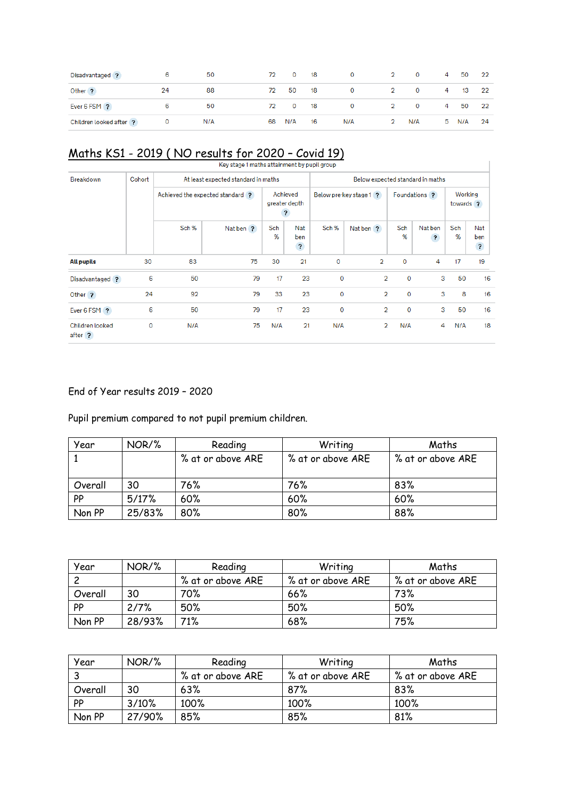| Disadvantaged ?         | -6           | 50  |    | 72 0 18   | $0 \qquad \qquad 2 \qquad \qquad 0$ |       |             | 4 50     | 22 |
|-------------------------|--------------|-----|----|-----------|-------------------------------------|-------|-------------|----------|----|
| Other ?                 | 24           | 88  | 72 | 50 18     | $\bullet$ 0 $\bullet$               |       | 2 0 4 13 22 |          |    |
| Ever 6 FSM ?            | 6            | 50  |    | 72 0 18   | $0 \qquad \qquad 2 \qquad \qquad 0$ |       |             | 4 50     | 22 |
| Children looked after ? | $\mathbf{O}$ | N/A |    | 68 N/A 16 | N/A                                 | 2 N/A |             | 5 N/A 24 |    |

# Maths KS1 - 2019 (NO results for 2020 - Covid 19)

|                            |        |       | Key stage 1 maths attainment by pupil group |          |                                                      |             |                                  |             |                                    |          |                              |  |
|----------------------------|--------|-------|---------------------------------------------|----------|------------------------------------------------------|-------------|----------------------------------|-------------|------------------------------------|----------|------------------------------|--|
| Breakdown                  | Cohort |       | At least expected standard in maths         |          |                                                      |             | Below expected standard in maths |             |                                    |          |                              |  |
|                            |        |       | Achieved the expected standard ?            |          | Achieved<br>greater depth<br>$\overline{\mathbf{r}}$ |             | Below pre-key stage 1 ?          |             | Foundations ?                      |          | Working<br>towards ?         |  |
|                            |        | Sch % | Nat ben ?                                   | Sch<br>% | <b>Nat</b><br>ben<br>$\overline{\mathbf{r}}$         | Sch %       | Nat ben ?                        | Sch<br>%    | Nat ben<br>$\overline{\mathbf{?}}$ | Sch<br>% | Nat<br>ben<br>$\overline{?}$ |  |
| <b>All pupils</b>          | 30     | 83    | 75                                          | 30       | 21                                                   | $\Omega$    | $\overline{2}$                   | $\Omega$    | 4                                  | 17       | 19                           |  |
| Disadvantaged ?            | 6      | 50    | 79                                          | 17       | 23                                                   | $\mathbf 0$ | $\overline{2}$                   | $\mathbf 0$ | 3                                  | 50       | 16                           |  |
| Other ?                    | 24     | 92    | 79                                          | 33       | 23                                                   | $\mathbf 0$ | $\overline{2}$                   | $\mathbf 0$ | 3                                  | 8        | 16                           |  |
| Ever 6 FSM ?               | 6      | 50    | 79                                          | 17       | 23                                                   | 0           | $\overline{2}$                   | $\mathbf 0$ | 3                                  | 50       | 16                           |  |
| Children looked<br>after ? | 0      | N/A   | 75                                          | N/A      | 21                                                   | N/A         | $\overline{2}$                   | N/A         | 4                                  | N/A      | 18                           |  |

### End of Year results 2019 – 2020

Pupil premium compared to not pupil premium children.

| Year      | NOR/%  | Reading           | Writing           | Maths             |  |
|-----------|--------|-------------------|-------------------|-------------------|--|
|           |        | % at or above ARE | % at or above ARE | % at or above ARE |  |
|           |        |                   |                   |                   |  |
| Overall   | 30     | 76%               | 76%               | 83%               |  |
| <b>PP</b> | 5/17%  | 60%               | 60%               | 60%               |  |
| Non PP    | 25/83% | 80%               | 80%               | 88%               |  |

| Year      | NOR/%  | Reading           | Writing           | Maths             |
|-----------|--------|-------------------|-------------------|-------------------|
|           |        | % at or above ARE | % at or above ARE | % at or above ARE |
| Overall   | 30     | 70%               | 66%               | 73%               |
| <b>PP</b> | 2/7%   | 50%               | 50%               | 50%               |
| Non PP    | 28/93% | 71%               | 68%               | 75%               |

| Year    | NOR/%  | Reading           | Writing           | Maths             |
|---------|--------|-------------------|-------------------|-------------------|
|         |        | % at or above ARE | % at or above ARE | % at or above ARE |
| Overall | 30     | 63%               | 87%               | 83%               |
| PP      | 3/10%  | 100%              | 100%              | 100%              |
| Non PP  | 27/90% | 85%               | 85%               | 81%               |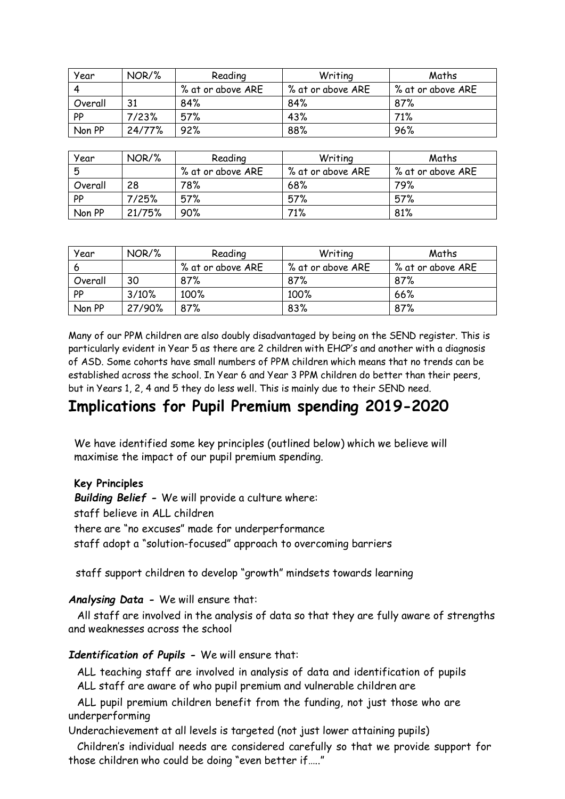| Year    | NOR/%  | Reading           | Writing           | Maths             |
|---------|--------|-------------------|-------------------|-------------------|
|         |        | % at or above ARE | % at or above ARE | % at or above ARE |
| Overall | 31     | 84%               | 84%               | 87%               |
| PP      | 7/23%  | 57%               | 43%               | 71%               |
| Non PP  | 24/77% | 92%               | 88%               | 96%               |

| Year    | NOR/%  | Reading           | Writina           | Maths             |
|---------|--------|-------------------|-------------------|-------------------|
| 5       |        | % at or above ARE | % at or above ARE | % at or above ARE |
| Overall | 28     | 78%               | 68%               | 79%               |
| PP      | 7/25%  | 57%               | 57%               | 57%               |
| Non PP  | 21/75% | 90%               | 71%               | 81%               |

| Year      | NOR/%  | Reading           | Writing           | Maths             |
|-----------|--------|-------------------|-------------------|-------------------|
|           |        | % at or above ARE | % at or above ARE | % at or above ARE |
| Overall   | 30     | 87%               | 87%               | 87%               |
| <b>PP</b> | 3/10%  | 100%              | 100%              | 66%               |
| Non PP    | 27/90% | 87%               | 83%               | 87%               |

Many of our PPM children are also doubly disadvantaged by being on the SEND register. This is particularly evident in Year 5 as there are 2 children with EHCP's and another with a diagnosis of ASD. Some cohorts have small numbers of PPM children which means that no trends can be established across the school. In Year 6 and Year 3 PPM children do better than their peers, but in Years 1, 2, 4 and 5 they do less well. This is mainly due to their SEND need.

## **Implications for Pupil Premium spending 2019-2020**

We have identified some key principles (outlined below) which we believe will maximise the impact of our pupil premium spending.

### **Key Principles**

*Building Belief -* We will provide a culture where: staff believe in ALL children there are "no excuses" made for underperformance staff adopt a "solution-focused" approach to overcoming barriers

staff support children to develop "growth" mindsets towards learning

*Analysing Data -* We will ensure that:

All staff are involved in the analysis of data so that they are fully aware of strengths and weaknesses across the school

*Identification of Pupils -* We will ensure that:

ALL teaching staff are involved in analysis of data and identification of pupils ALL staff are aware of who pupil premium and vulnerable children are

ALL pupil premium children benefit from the funding, not just those who are underperforming

Underachievement at all levels is targeted (not just lower attaining pupils)

Children's individual needs are considered carefully so that we provide support for those children who could be doing "even better if….."